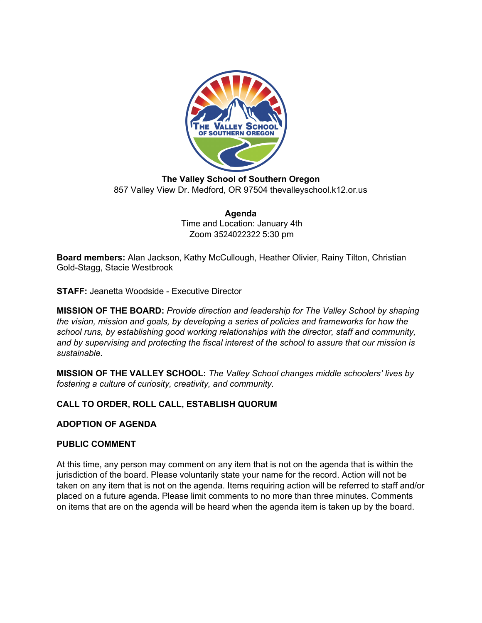

**The Valley School of Southern Oregon** 857 Valley View Dr. Medford, OR 97504 thevalleyschool.k12.or.us

> **Agenda** Time and Location: January 4th Zoom 3524022322 5:30 pm

**Board members:** Alan Jackson, Kathy McCullough, Heather Olivier, Rainy Tilton, Christian Gold-Stagg, Stacie Westbrook

**STAFF:** Jeanetta Woodside - Executive Director

**MISSION OF THE BOARD:** *Provide direction and leadership for The Valley School by shaping the vision, mission and goals, by developing a series of policies and frameworks for how the school runs, by establishing good working relationships with the director, staff and community, and by supervising and protecting the fiscal interest of the school to assure that our mission is sustainable.*

**MISSION OF THE VALLEY SCHOOL:** *The Valley School changes middle schoolers' lives by fostering a culture of curiosity, creativity, and community.*

# **CALL TO ORDER, ROLL CALL, ESTABLISH QUORUM**

**ADOPTION OF AGENDA**

### **PUBLIC COMMENT**

At this time, any person may comment on any item that is not on the agenda that is within the jurisdiction of the board. Please voluntarily state your name for the record. Action will not be taken on any item that is not on the agenda. Items requiring action will be referred to staff and/or placed on a future agenda. Please limit comments to no more than three minutes. Comments on items that are on the agenda will be heard when the agenda item is taken up by the board.